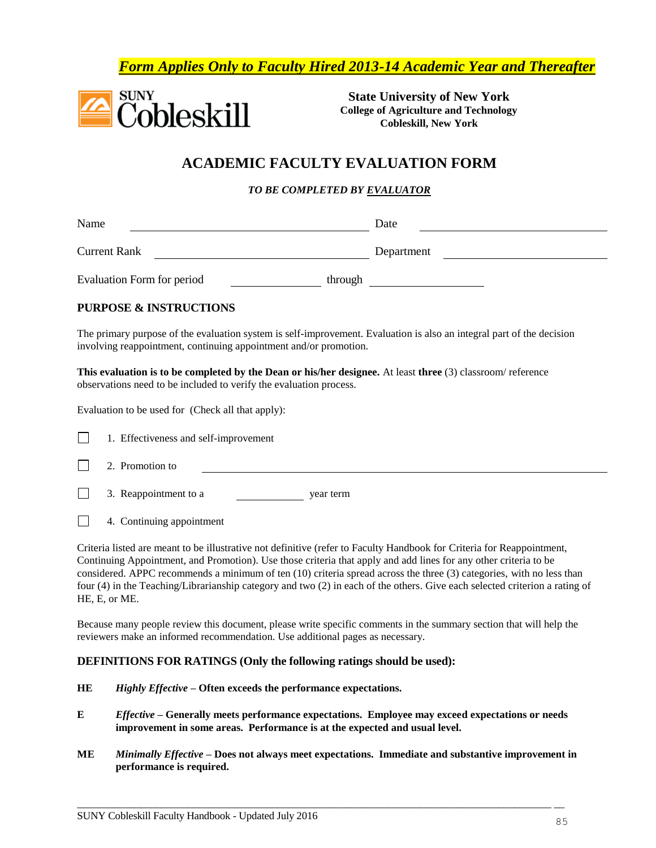*Form Applies Only to Faculty Hired 2013-14 Academic Year and Thereafter*



**State University of New York College of Agriculture and Technology Cobleskill, New York**

## **ACADEMIC FACULTY EVALUATION FORM**

*TO BE COMPLETED BY EVALUATOR*

| Name                                                                                                                                                                                       | Date       |  |  |
|--------------------------------------------------------------------------------------------------------------------------------------------------------------------------------------------|------------|--|--|
| <b>Current Rank</b>                                                                                                                                                                        | Department |  |  |
| Evaluation Form for period<br>through                                                                                                                                                      |            |  |  |
| <b>PURPOSE &amp; INSTRUCTIONS</b>                                                                                                                                                          |            |  |  |
| The primary purpose of the evaluation system is self-improvement. Evaluation is also an integral part of the decision<br>involving reappointment, continuing appointment and/or promotion. |            |  |  |
| This evaluation is to be completed by the Dean or his/her designee. At least three (3) classroom/reference<br>observations need to be included to verify the evaluation process.           |            |  |  |
| Evaluation to be used for (Check all that apply):                                                                                                                                          |            |  |  |
| 1. Effectiveness and self-improvement                                                                                                                                                      |            |  |  |

|  | 2. Promotion to |  |
|--|-----------------|--|
|--|-----------------|--|

 $\Box$ 3. Reappointment to a year term

 $\perp$ 4. Continuing appointment

Criteria listed are meant to be illustrative not definitive (refer to Faculty Handbook for Criteria for Reappointment, Continuing Appointment, and Promotion). Use those criteria that apply and add lines for any other criteria to be considered. APPC recommends a minimum of ten (10) criteria spread across the three (3) categories, with no less than four (4) in the Teaching/Librarianship category and two (2) in each of the others. Give each selected criterion a rating of HE, E, or ME.

Because many people review this document, please write specific comments in the summary section that will help the reviewers make an informed recommendation. Use additional pages as necessary.

#### **DEFINITIONS FOR RATINGS (Only the following ratings should be used):**

- **HE** *Highly Effective* **– Often exceeds the performance expectations.**
- **E** *Effective* **– Generally meets performance expectations. Employee may exceed expectations or needs improvement in some areas. Performance is at the expected and usual level.**
- **ME** *Minimally Effective* **– Does not always meet expectations. Immediate and substantive improvement in performance is required.**

 $\overline{\phantom{a}}$  , and the contribution of the contribution of the contribution of the contribution of the contribution of the contribution of the contribution of the contribution of the contribution of the contribution of the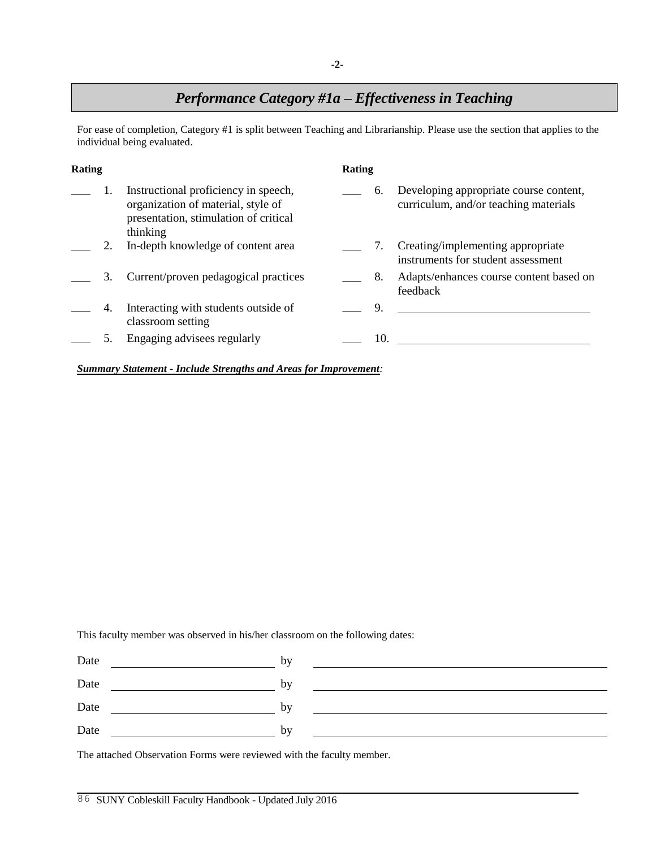## *Performance Category #1a – Effectiveness in Teaching*

For ease of completion, Category #1 is split between Teaching and Librarianship. Please use the section that applies to the individual being evaluated.

| Rating |    |                                                                                                                                 | Rating |     |                                                                                 |
|--------|----|---------------------------------------------------------------------------------------------------------------------------------|--------|-----|---------------------------------------------------------------------------------|
|        |    | Instructional proficiency in speech,<br>organization of material, style of<br>presentation, stimulation of critical<br>thinking |        | 6.  | Developing appropriate course content,<br>curriculum, and/or teaching materials |
|        |    | In-depth knowledge of content area                                                                                              |        | 7.  | Creating/implementing appropriate<br>instruments for student assessment         |
|        | 3. | Current/proven pedagogical practices                                                                                            |        | 8.  | Adapts/enhances course content based on<br>feedback                             |
|        | 4. | Interacting with students outside of<br>classroom setting                                                                       |        | 9.  |                                                                                 |
|        |    | Engaging advisees regularly                                                                                                     |        | 10. |                                                                                 |

*Summary Statement - Include Strengths and Areas for Improvement:* 

This faculty member was observed in his/her classroom on the following dates:

| Date | by |  |
|------|----|--|
| Date | by |  |
| Date | by |  |
| Date | by |  |

The attached Observation Forms were reviewed with the faculty member.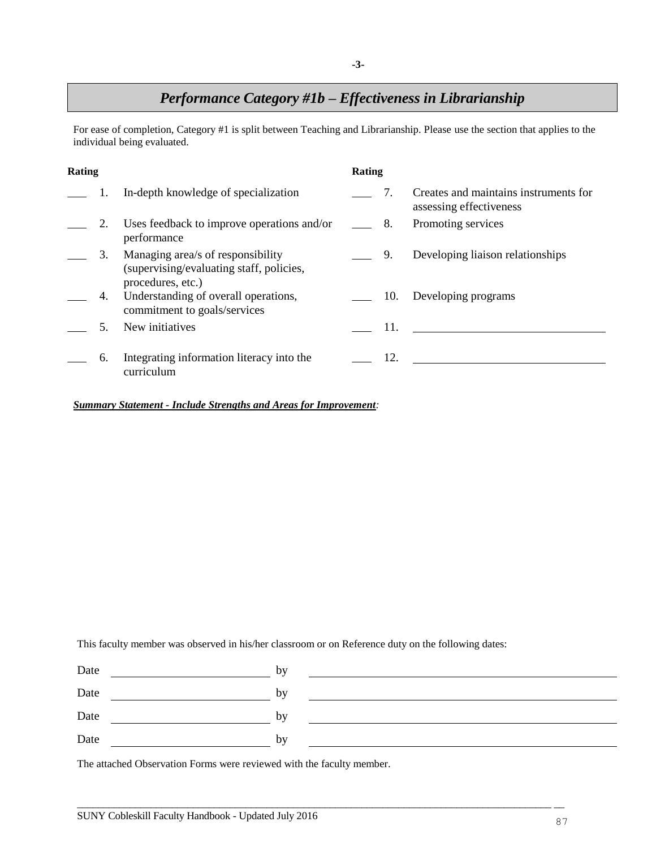## *Performance Category #1b – Effectiveness in Librarianship*

For ease of completion, Category #1 is split between Teaching and Librarianship. Please use the section that applies to the individual being evaluated.

| Rating |    |                                                                                                    | Rating |     |                                                                  |
|--------|----|----------------------------------------------------------------------------------------------------|--------|-----|------------------------------------------------------------------|
|        |    | In-depth knowledge of specialization                                                               |        | 7.  | Creates and maintains instruments for<br>assessing effectiveness |
|        | 2. | Uses feedback to improve operations and/or<br>performance                                          |        | 8.  | Promoting services                                               |
|        | 3. | Managing area/s of responsibility<br>(supervising/evaluating staff, policies,<br>procedures, etc.) |        | 9.  | Developing liaison relationships                                 |
|        | 4. | Understanding of overall operations,<br>commitment to goals/services                               |        | 10. | Developing programs                                              |
|        |    | New initiatives                                                                                    |        | 11. |                                                                  |
|        | 6. | Integrating information literacy into the<br>curriculum                                            |        | 12. |                                                                  |

#### *Summary Statement - Include Strengths and Areas for Improvement:*

This faculty member was observed in his/her classroom or on Reference duty on the following dates:

| Date | by |  |
|------|----|--|
| Date | by |  |
| Date | by |  |
| Date | by |  |
|      |    |  |

 $\overline{\phantom{a}}$  , and the contribution of the contribution of the contribution of the contribution of the contribution of the contribution of the contribution of the contribution of the contribution of the contribution of the

The attached Observation Forms were reviewed with the faculty member.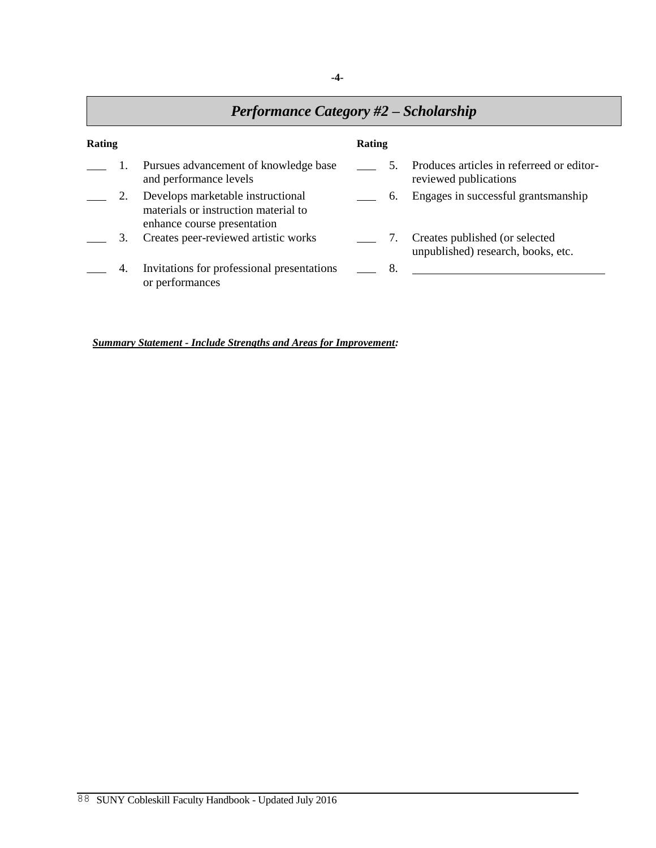# *Performance Category #2 – Scholarship*

| Rating |    |                                                                                                          |  | Rating |                                                                      |  |  |
|--------|----|----------------------------------------------------------------------------------------------------------|--|--------|----------------------------------------------------------------------|--|--|
|        |    | Pursues advancement of knowledge base<br>and performance levels                                          |  |        | Produces articles in referreed or editor-<br>reviewed publications   |  |  |
|        |    | Develops marketable instructional<br>materials or instruction material to<br>enhance course presentation |  | 6.     | Engages in successful grantsmanship                                  |  |  |
|        | 3. | Creates peer-reviewed artistic works                                                                     |  |        | Creates published (or selected<br>unpublished) research, books, etc. |  |  |
|        | 4. | Invitations for professional presentations<br>or performances                                            |  | 8.     |                                                                      |  |  |

*Summary Statement - Include Strengths and Areas for Improvement:*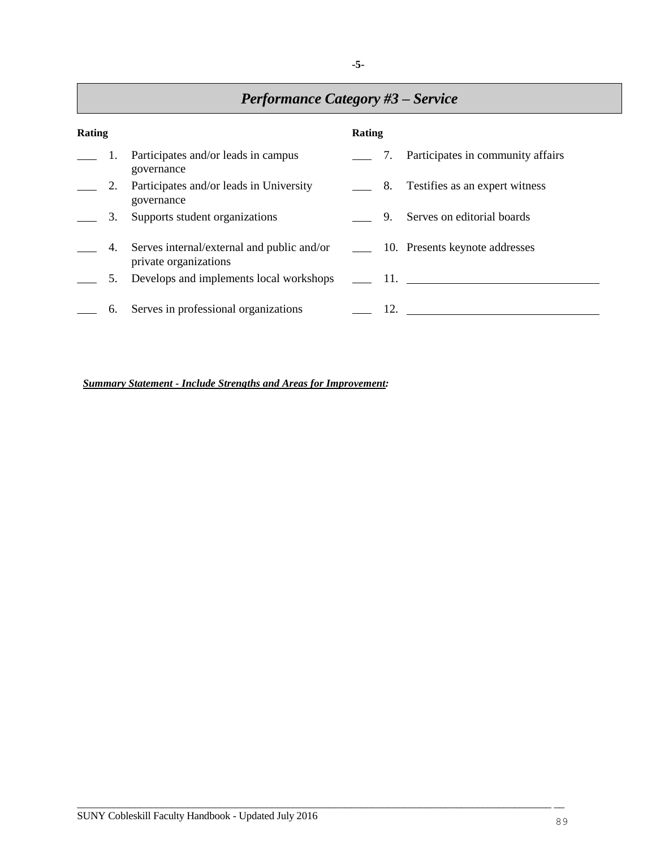| <b>Performance Category #3 – Service</b> |    |                                                                                                              |        |  |                                          |
|------------------------------------------|----|--------------------------------------------------------------------------------------------------------------|--------|--|------------------------------------------|
| Rating                                   |    |                                                                                                              | Rating |  |                                          |
|                                          |    | 1. Participates and/or leads in campus<br>governance                                                         |        |  | 2. 7. Participates in community affairs  |
|                                          | 2. | Participates and/or leads in University<br>governance                                                        |        |  | 2012 - 8. Testifies as an expert witness |
|                                          | 3. | Supports student organizations                                                                               |        |  | 9. Serves on editorial boards            |
|                                          | 4. | Serves internal/external and public and/or _________ 10. Presents keynote addresses<br>private organizations |        |  |                                          |
|                                          | 5. | Develops and implements local workshops _______ 11.                                                          |        |  |                                          |
|                                          | 6. | Serves in professional organizations                                                                         |        |  | $12.$ $\qquad \qquad$                    |

*Summary Statement - Include Strengths and Areas for Improvement:*

Г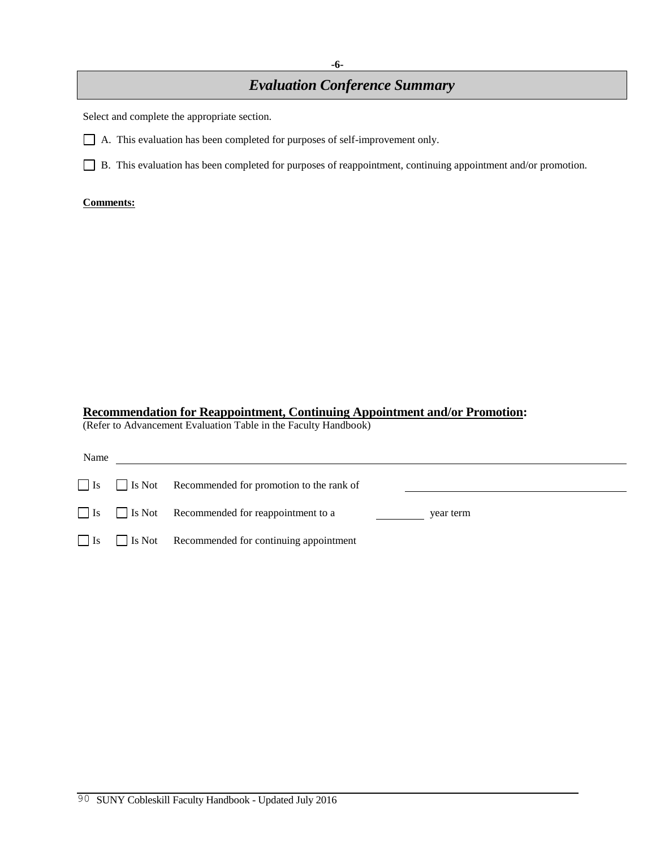## *Evaluation Conference Summary*

Select and complete the appropriate section.

A. This evaluation has been completed for purposes of self-improvement only.

B. This evaluation has been completed for purposes of reappointment, continuing appointment and/or promotion.

#### **Comments:**

### **Recommendation for Reappointment, Continuing Appointment and/or Promotion:**

(Refer to Advancement Evaluation Table in the Faculty Handbook)

| Name      |                                                            |           |
|-----------|------------------------------------------------------------|-----------|
|           | $\Box$ Is Not Recommended for promotion to the rank of     |           |
|           | $\Box$ Is $\Box$ Is Not Recommended for reappointment to a | year term |
| $\Box$ Is | Is Not Recommended for continuing appointment              |           |